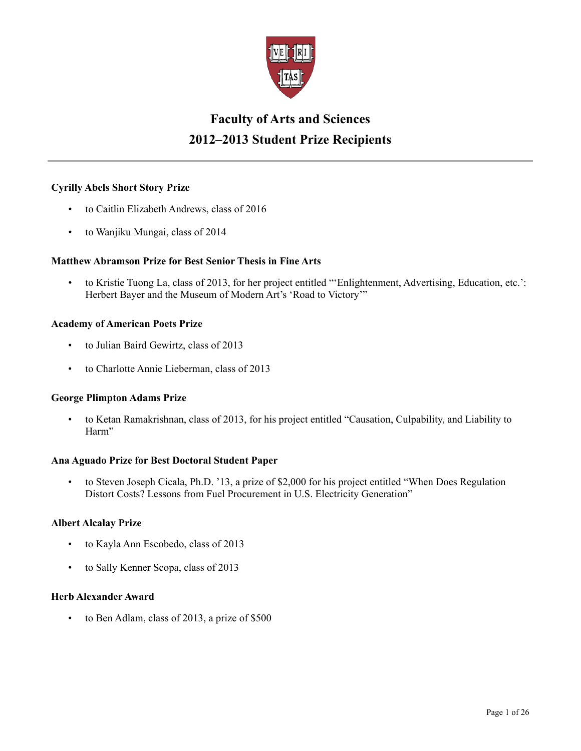

# **Faculty of Arts and Sciences 2012–2013 Student Prize Recipients**

# **Cyrilly Abels Short Story Prize**

- to Caitlin Elizabeth Andrews, class of 2016
- to Wanjiku Mungai, class of 2014

# **Matthew Abramson Prize for Best Senior Thesis in Fine Arts**

• to Kristie Tuong La, class of 2013, for her project entitled "'Enlightenment, Advertising, Education, etc.': Herbert Bayer and the Museum of Modern Art's 'Road to Victory'"

# **Academy of American Poets Prize**

- to Julian Baird Gewirtz, class of 2013
- to Charlotte Annie Lieberman, class of 2013

# **George Plimpton Adams Prize**

• to Ketan Ramakrishnan, class of 2013, for his project entitled "Causation, Culpability, and Liability to Harm"

# **Ana Aguado Prize for Best Doctoral Student Paper**

• to Steven Joseph Cicala, Ph.D. '13, a prize of \$2,000 for his project entitled "When Does Regulation Distort Costs? Lessons from Fuel Procurement in U.S. Electricity Generation"

# **Albert Alcalay Prize**

- to Kayla Ann Escobedo, class of 2013
- to Sally Kenner Scopa, class of 2013

# **Herb Alexander Award**

• to Ben Adlam, class of 2013, a prize of \$500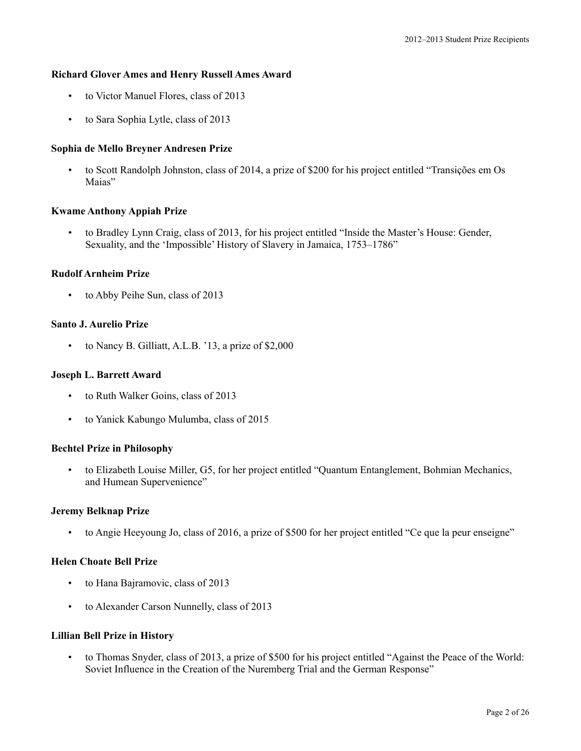### **Richard Glover Ames and Henry Russell Ames Award**

- to Victor Manuel Flores, class of 2013
- to Sara Sophia Lytle, class of 2013

# **Sophia de Mello Breyner Andresen Prize**

• to Scott Randolph Johnston, class of 2014, a prize of \$200 for his project entitled "Transições em Os Maias"

### **Kwame Anthony Appiah Prize**

• to Bradley Lynn Craig, class of 2013, for his project entitled "Inside the Master's House: Gender, Sexuality, and the 'Impossible' History of Slavery in Jamaica, 1753–1786"

# **Rudolf Arnheim Prize**

• to Abby Peihe Sun, class of 2013

### **Santo J. Aurelio Prize**

• to Nancy B. Gilliatt, A.L.B. '13, a prize of \$2,000

### **Joseph L. Barrett Award**

- to Ruth Walker Goins, class of 2013
- to Yanick Kabungo Mulumba, class of 2015

### **Bechtel Prize in Philosophy**

• to Elizabeth Louise Miller, G5, for her project entitled "Quantum Entanglement, Bohmian Mechanics, and Humean Supervenience"

### **Jeremy Belknap Prize**

• to Angie Heeyoung Jo, class of 2016, a prize of \$500 for her project entitled "Ce que la peur enseigne"

### **Helen Choate Bell Prize**

- to Hana Bajramovic, class of 2013
- to Alexander Carson Nunnelly, class of 2013

### **Lillian Bell Prize in History**

• to Thomas Snyder, class of 2013, a prize of \$500 for his project entitled "Against the Peace of the World: Soviet Influence in the Creation of the Nuremberg Trial and the German Response"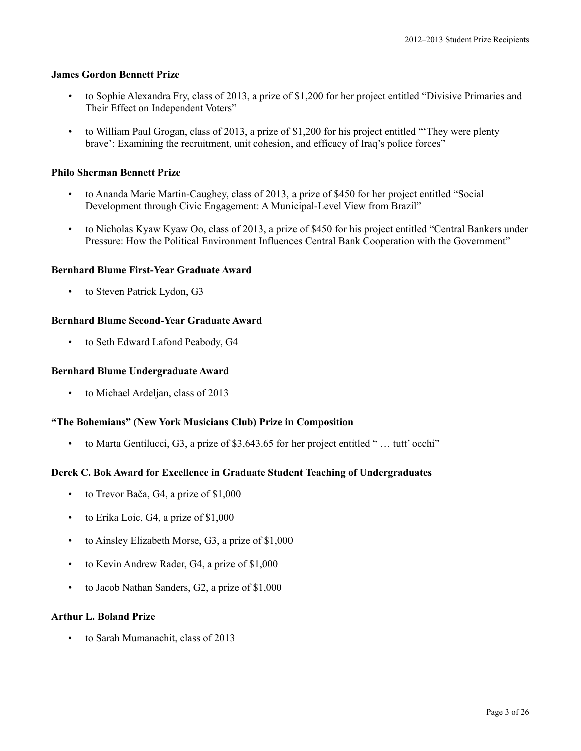# **James Gordon Bennett Prize**

- to Sophie Alexandra Fry, class of 2013, a prize of \$1,200 for her project entitled "Divisive Primaries and Their Effect on Independent Voters"
- to William Paul Grogan, class of 2013, a prize of \$1,200 for his project entitled "'They were plenty brave': Examining the recruitment, unit cohesion, and efficacy of Iraq's police forces"

# **Philo Sherman Bennett Prize**

- to Ananda Marie Martin-Caughey, class of 2013, a prize of \$450 for her project entitled "Social Development through Civic Engagement: A Municipal-Level View from Brazil"
- to Nicholas Kyaw Kyaw Oo, class of 2013, a prize of \$450 for his project entitled "Central Bankers under Pressure: How the Political Environment Influences Central Bank Cooperation with the Government"

### **Bernhard Blume First-Year Graduate Award**

• to Steven Patrick Lydon, G3

# **Bernhard Blume Second-Year Graduate Award**

• to Seth Edward Lafond Peabody, G4

### **Bernhard Blume Undergraduate Award**

• to Michael Ardeljan, class of 2013

# **"The Bohemians" (New York Musicians Club) Prize in Composition**

• to Marta Gentilucci, G3, a prize of \$3,643.65 for her project entitled " … tutt' occhi"

# **Derek C. Bok Award for Excellence in Graduate Student Teaching of Undergraduates**

- to Trevor Bača, G4, a prize of \$1,000
- to Erika Loic, G4, a prize of \$1,000
- to Ainsley Elizabeth Morse, G3, a prize of \$1,000
- to Kevin Andrew Rader, G4, a prize of \$1,000
- to Jacob Nathan Sanders, G2, a prize of \$1,000

### **Arthur L. Boland Prize**

• to Sarah Mumanachit, class of 2013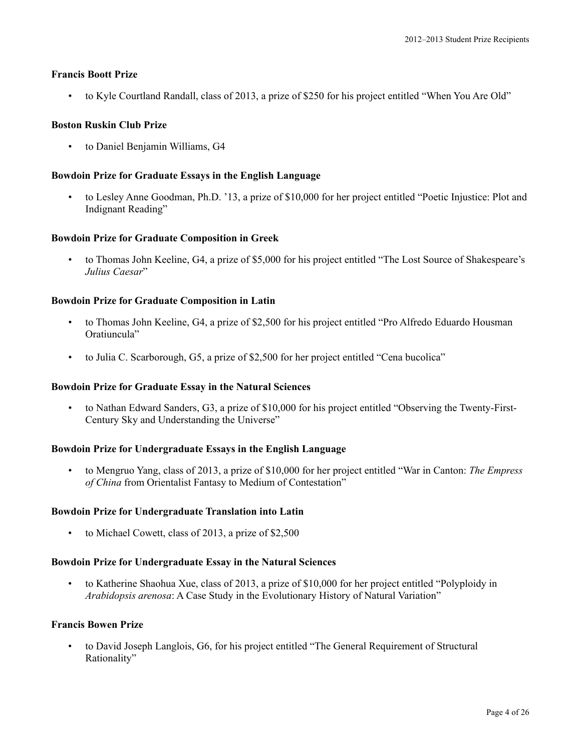### **Francis Boott Prize**

• to Kyle Courtland Randall, class of 2013, a prize of \$250 for his project entitled "When You Are Old"

# **Boston Ruskin Club Prize**

• to Daniel Benjamin Williams, G4

### **Bowdoin Prize for Graduate Essays in the English Language**

• to Lesley Anne Goodman, Ph.D. '13, a prize of \$10,000 for her project entitled "Poetic Injustice: Plot and Indignant Reading"

### **Bowdoin Prize for Graduate Composition in Greek**

• to Thomas John Keeline, G4, a prize of \$5,000 for his project entitled "The Lost Source of Shakespeare's *Julius Caesar*"

# **Bowdoin Prize for Graduate Composition in Latin**

- to Thomas John Keeline, G4, a prize of \$2,500 for his project entitled "Pro Alfredo Eduardo Housman Oratiuncula"
- to Julia C. Scarborough, G5, a prize of \$2,500 for her project entitled "Cena bucolica"

### **Bowdoin Prize for Graduate Essay in the Natural Sciences**

• to Nathan Edward Sanders, G3, a prize of \$10,000 for his project entitled "Observing the Twenty-First-Century Sky and Understanding the Universe"

### **Bowdoin Prize for Undergraduate Essays in the English Language**

• to Mengruo Yang, class of 2013, a prize of \$10,000 for her project entitled "War in Canton: *The Empress of China* from Orientalist Fantasy to Medium of Contestation"

### **Bowdoin Prize for Undergraduate Translation into Latin**

• to Michael Cowett, class of 2013, a prize of \$2,500

### **Bowdoin Prize for Undergraduate Essay in the Natural Sciences**

• to Katherine Shaohua Xue, class of 2013, a prize of \$10,000 for her project entitled "Polyploidy in *Arabidopsis arenosa*: A Case Study in the Evolutionary History of Natural Variation"

### **Francis Bowen Prize**

• to David Joseph Langlois, G6, for his project entitled "The General Requirement of Structural Rationality"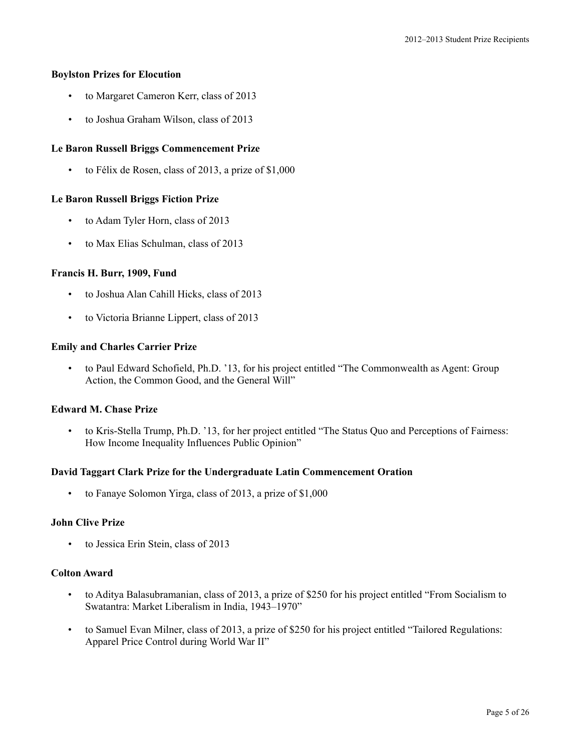# **Boylston Prizes for Elocution**

- to Margaret Cameron Kerr, class of 2013
- to Joshua Graham Wilson, class of 2013

# **Le Baron Russell Briggs Commencement Prize**

• to Félix de Rosen, class of 2013, a prize of \$1,000

# **Le Baron Russell Briggs Fiction Prize**

- to Adam Tyler Horn, class of 2013
- to Max Elias Schulman, class of 2013

# **Francis H. Burr, 1909, Fund**

- to Joshua Alan Cahill Hicks, class of 2013
- to Victoria Brianne Lippert, class of 2013

# **Emily and Charles Carrier Prize**

• to Paul Edward Schofield, Ph.D. '13, for his project entitled "The Commonwealth as Agent: Group Action, the Common Good, and the General Will"

# **Edward M. Chase Prize**

• to Kris-Stella Trump, Ph.D. '13, for her project entitled "The Status Quo and Perceptions of Fairness: How Income Inequality Influences Public Opinion"

# **David Taggart Clark Prize for the Undergraduate Latin Commencement Oration**

• to Fanaye Solomon Yirga, class of 2013, a prize of \$1,000

# **John Clive Prize**

to Jessica Erin Stein, class of 2013

# **Colton Award**

- to Aditya Balasubramanian, class of 2013, a prize of \$250 for his project entitled "From Socialism to Swatantra: Market Liberalism in India, 1943–1970"
- to Samuel Evan Milner, class of 2013, a prize of \$250 for his project entitled "Tailored Regulations: Apparel Price Control during World War II"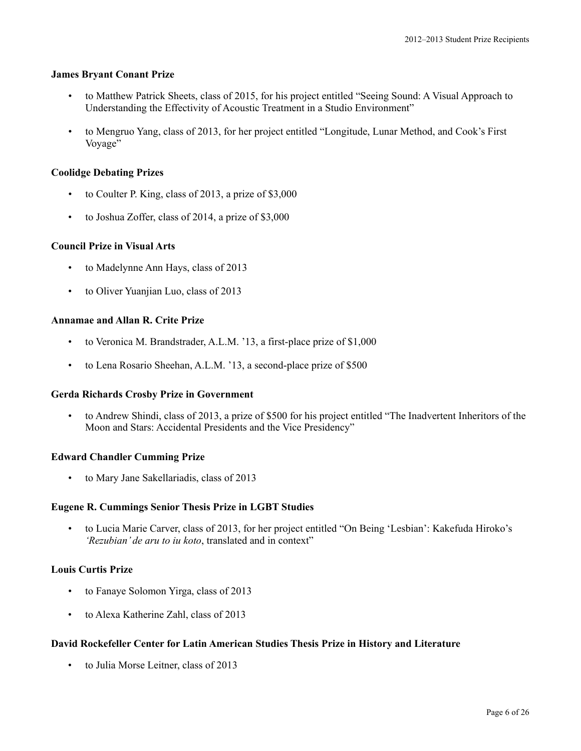### **James Bryant Conant Prize**

- to Matthew Patrick Sheets, class of 2015, for his project entitled "Seeing Sound: A Visual Approach to Understanding the Effectivity of Acoustic Treatment in a Studio Environment"
- to Mengruo Yang, class of 2013, for her project entitled "Longitude, Lunar Method, and Cook's First Voyage"

# **Coolidge Debating Prizes**

- to Coulter P. King, class of 2013, a prize of \$3,000
- to Joshua Zoffer, class of 2014, a prize of \$3,000

# **Council Prize in Visual Arts**

- to Madelynne Ann Hays, class of 2013
- to Oliver Yuanjian Luo, class of 2013

# **Annamae and Allan R. Crite Prize**

- to Veronica M. Brandstrader, A.L.M. '13, a first-place prize of \$1,000
- to Lena Rosario Sheehan, A.L.M. '13, a second-place prize of \$500

# **Gerda Richards Crosby Prize in Government**

• to Andrew Shindi, class of 2013, a prize of \$500 for his project entitled "The Inadvertent Inheritors of the Moon and Stars: Accidental Presidents and the Vice Presidency"

# **Edward Chandler Cumming Prize**

• to Mary Jane Sakellariadis, class of 2013

# **Eugene R. Cummings Senior Thesis Prize in LGBT Studies**

• to Lucia Marie Carver, class of 2013, for her project entitled "On Being 'Lesbian': Kakefuda Hiroko's *'Rezubian' de aru to iu koto*, translated and in context"

# **Louis Curtis Prize**

- to Fanaye Solomon Yirga, class of 2013
- to Alexa Katherine Zahl, class of 2013

# **David Rockefeller Center for Latin American Studies Thesis Prize in History and Literature**

• to Julia Morse Leitner, class of 2013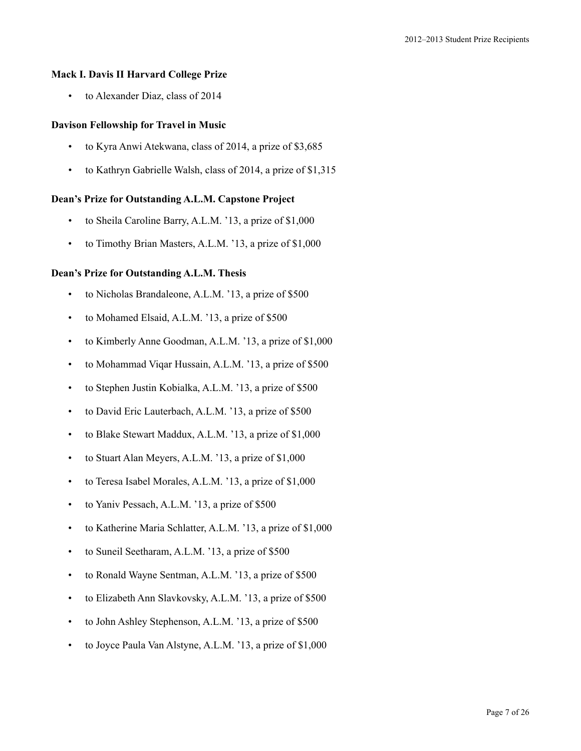### **Mack I. Davis II Harvard College Prize**

• to Alexander Diaz, class of 2014

# **Davison Fellowship for Travel in Music**

- to Kyra Anwi Atekwana, class of 2014, a prize of \$3,685
- to Kathryn Gabrielle Walsh, class of 2014, a prize of \$1,315

### **Dean's Prize for Outstanding A.L.M. Capstone Project**

- to Sheila Caroline Barry, A.L.M. '13, a prize of \$1,000
- to Timothy Brian Masters, A.L.M. '13, a prize of \$1,000

### **Dean's Prize for Outstanding A.L.M. Thesis**

- to Nicholas Brandaleone, A.L.M. '13, a prize of \$500
- to Mohamed Elsaid, A.L.M. '13, a prize of \$500
- to Kimberly Anne Goodman, A.L.M. '13, a prize of \$1,000
- to Mohammad Viqar Hussain, A.L.M. '13, a prize of \$500
- to Stephen Justin Kobialka, A.L.M. '13, a prize of \$500
- to David Eric Lauterbach, A.L.M. '13, a prize of \$500
- to Blake Stewart Maddux, A.L.M. '13, a prize of \$1,000
- to Stuart Alan Meyers, A.L.M. '13, a prize of \$1,000
- to Teresa Isabel Morales, A.L.M. '13, a prize of \$1,000
- to Yaniv Pessach, A.L.M. '13, a prize of \$500
- to Katherine Maria Schlatter, A.L.M. '13, a prize of \$1,000
- to Suneil Seetharam, A.L.M. '13, a prize of \$500
- to Ronald Wayne Sentman, A.L.M. '13, a prize of \$500
- to Elizabeth Ann Slavkovsky, A.L.M. '13, a prize of \$500
- to John Ashley Stephenson, A.L.M. '13, a prize of \$500
- to Joyce Paula Van Alstyne, A.L.M. '13, a prize of \$1,000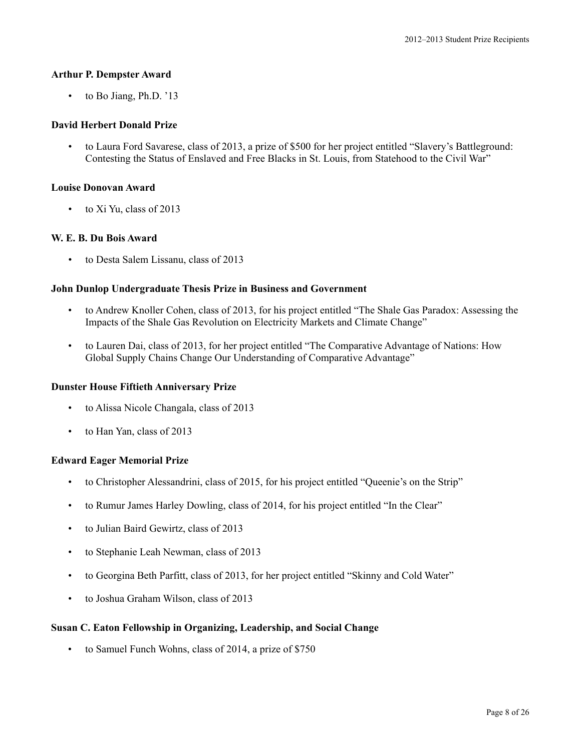### **Arthur P. Dempster Award**

• to Bo Jiang, Ph.D. '13

# **David Herbert Donald Prize**

• to Laura Ford Savarese, class of 2013, a prize of \$500 for her project entitled "Slavery's Battleground: Contesting the Status of Enslaved and Free Blacks in St. Louis, from Statehood to the Civil War"

### **Louise Donovan Award**

• to Xi Yu, class of 2013

# **W. E. B. Du Bois Award**

• to Desta Salem Lissanu, class of 2013

# **John Dunlop Undergraduate Thesis Prize in Business and Government**

- to Andrew Knoller Cohen, class of 2013, for his project entitled "The Shale Gas Paradox: Assessing the Impacts of the Shale Gas Revolution on Electricity Markets and Climate Change"
- to Lauren Dai, class of 2013, for her project entitled "The Comparative Advantage of Nations: How Global Supply Chains Change Our Understanding of Comparative Advantage"

### **Dunster House Fiftieth Anniversary Prize**

- to Alissa Nicole Changala, class of 2013
- to Han Yan, class of 2013

### **Edward Eager Memorial Prize**

- to Christopher Alessandrini, class of 2015, for his project entitled "Queenie's on the Strip"
- to Rumur James Harley Dowling, class of 2014, for his project entitled "In the Clear"
- to Julian Baird Gewirtz, class of 2013
- to Stephanie Leah Newman, class of 2013
- to Georgina Beth Parfitt, class of 2013, for her project entitled "Skinny and Cold Water"
- to Joshua Graham Wilson, class of 2013

### **Susan C. Eaton Fellowship in Organizing, Leadership, and Social Change**

• to Samuel Funch Wohns, class of 2014, a prize of \$750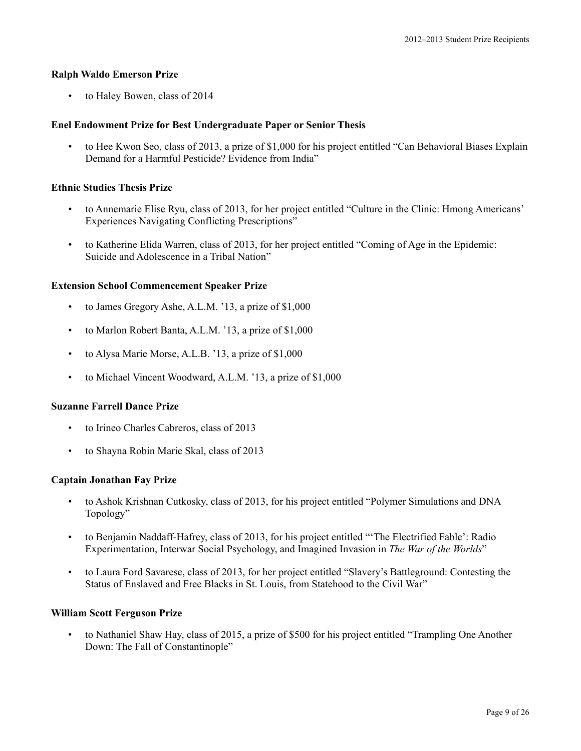### **Ralph Waldo Emerson Prize**

• to Haley Bowen, class of 2014

# **Enel Endowment Prize for Best Undergraduate Paper or Senior Thesis**

• to Hee Kwon Seo, class of 2013, a prize of \$1,000 for his project entitled "Can Behavioral Biases Explain Demand for a Harmful Pesticide? Evidence from India"

# **Ethnic Studies Thesis Prize**

- to Annemarie Elise Ryu, class of 2013, for her project entitled "Culture in the Clinic: Hmong Americans' Experiences Navigating Conflicting Prescriptions"
- to Katherine Elida Warren, class of 2013, for her project entitled "Coming of Age in the Epidemic: Suicide and Adolescence in a Tribal Nation"

### **Extension School Commencement Speaker Prize**

- to James Gregory Ashe, A.L.M. '13, a prize of \$1,000
- to Marlon Robert Banta, A.L.M. '13, a prize of \$1,000
- to Alysa Marie Morse, A.L.B. '13, a prize of \$1,000
- to Michael Vincent Woodward, A.L.M. '13, a prize of \$1,000

### **Suzanne Farrell Dance Prize**

- to Irineo Charles Cabreros, class of 2013
- to Shayna Robin Marie Skal, class of 2013

### **Captain Jonathan Fay Prize**

- to Ashok Krishnan Cutkosky, class of 2013, for his project entitled "Polymer Simulations and DNA Topology"
- to Benjamin Naddaff-Hafrey, class of 2013, for his project entitled "'The Electrified Fable': Radio Experimentation, Interwar Social Psychology, and Imagined Invasion in *The War of the Worlds*"
- to Laura Ford Savarese, class of 2013, for her project entitled "Slavery's Battleground: Contesting the Status of Enslaved and Free Blacks in St. Louis, from Statehood to the Civil War"

### **William Scott Ferguson Prize**

• to Nathaniel Shaw Hay, class of 2015, a prize of \$500 for his project entitled "Trampling One Another Down: The Fall of Constantinople"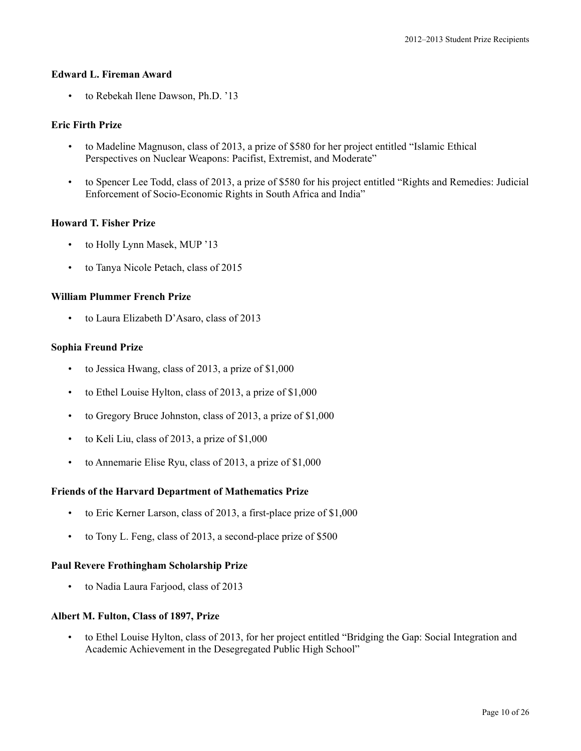# **Edward L. Fireman Award**

• to Rebekah Ilene Dawson, Ph.D. '13

# **Eric Firth Prize**

- to Madeline Magnuson, class of 2013, a prize of \$580 for her project entitled "Islamic Ethical Perspectives on Nuclear Weapons: Pacifist, Extremist, and Moderate"
- to Spencer Lee Todd, class of 2013, a prize of \$580 for his project entitled "Rights and Remedies: Judicial Enforcement of Socio-Economic Rights in South Africa and India"

### **Howard T. Fisher Prize**

- to Holly Lynn Masek, MUP '13
- to Tanya Nicole Petach, class of 2015

# **William Plummer French Prize**

• to Laura Elizabeth D'Asaro, class of 2013

# **Sophia Freund Prize**

- to Jessica Hwang, class of 2013, a prize of \$1,000
- to Ethel Louise Hylton, class of 2013, a prize of \$1,000
- to Gregory Bruce Johnston, class of 2013, a prize of \$1,000
- to Keli Liu, class of 2013, a prize of \$1,000
- to Annemarie Elise Ryu, class of 2013, a prize of \$1,000

### **Friends of the Harvard Department of Mathematics Prize**

- to Eric Kerner Larson, class of 2013, a first-place prize of \$1,000
- to Tony L. Feng, class of 2013, a second-place prize of \$500

### **Paul Revere Frothingham Scholarship Prize**

• to Nadia Laura Farjood, class of 2013

### **Albert M. Fulton, Class of 1897, Prize**

• to Ethel Louise Hylton, class of 2013, for her project entitled "Bridging the Gap: Social Integration and Academic Achievement in the Desegregated Public High School"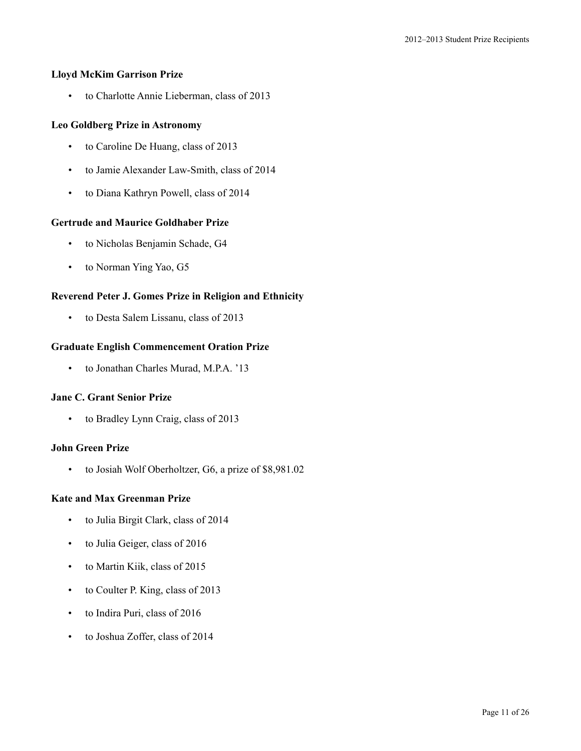### **Lloyd McKim Garrison Prize**

• to Charlotte Annie Lieberman, class of 2013

# **Leo Goldberg Prize in Astronomy**

- to Caroline De Huang, class of 2013
- to Jamie Alexander Law-Smith, class of 2014
- to Diana Kathryn Powell, class of 2014

### **Gertrude and Maurice Goldhaber Prize**

- to Nicholas Benjamin Schade, G4
- to Norman Ying Yao, G5

# **Reverend Peter J. Gomes Prize in Religion and Ethnicity**

• to Desta Salem Lissanu, class of 2013

# **Graduate English Commencement Oration Prize**

• to Jonathan Charles Murad, M.P.A. '13

### **Jane C. Grant Senior Prize**

• to Bradley Lynn Craig, class of 2013

### **John Green Prize**

• to Josiah Wolf Oberholtzer, G6, a prize of \$8,981.02

# **Kate and Max Greenman Prize**

- to Julia Birgit Clark, class of 2014
- to Julia Geiger, class of 2016
- to Martin Kiik, class of 2015
- to Coulter P. King, class of 2013
- to Indira Puri, class of 2016
- to Joshua Zoffer, class of 2014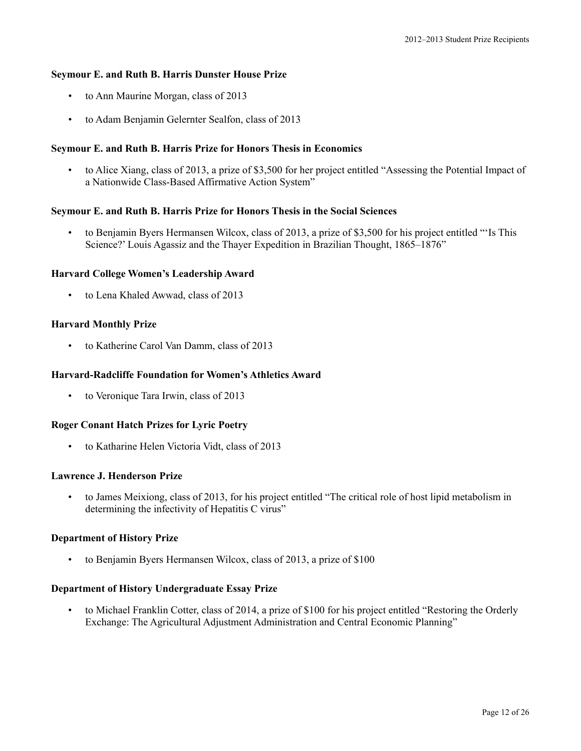# **Seymour E. and Ruth B. Harris Dunster House Prize**

- to Ann Maurine Morgan, class of 2013
- to Adam Benjamin Gelernter Sealfon, class of 2013

# **Seymour E. and Ruth B. Harris Prize for Honors Thesis in Economics**

• to Alice Xiang, class of 2013, a prize of \$3,500 for her project entitled "Assessing the Potential Impact of a Nationwide Class-Based Affirmative Action System"

# **Seymour E. and Ruth B. Harris Prize for Honors Thesis in the Social Sciences**

• to Benjamin Byers Hermansen Wilcox, class of 2013, a prize of \$3,500 for his project entitled "'Is This Science?' Louis Agassiz and the Thayer Expedition in Brazilian Thought, 1865–1876"

# **Harvard College Women's Leadership Award**

to Lena Khaled Awwad, class of 2013

# **Harvard Monthly Prize**

• to Katherine Carol Van Damm, class of 2013

# **Harvard-Radcliffe Foundation for Women's Athletics Award**

to Veronique Tara Irwin, class of 2013

# **Roger Conant Hatch Prizes for Lyric Poetry**

• to Katharine Helen Victoria Vidt, class of 2013

# **Lawrence J. Henderson Prize**

• to James Meixiong, class of 2013, for his project entitled "The critical role of host lipid metabolism in determining the infectivity of Hepatitis C virus"

# **Department of History Prize**

• to Benjamin Byers Hermansen Wilcox, class of 2013, a prize of \$100

# **Department of History Undergraduate Essay Prize**

• to Michael Franklin Cotter, class of 2014, a prize of \$100 for his project entitled "Restoring the Orderly Exchange: The Agricultural Adjustment Administration and Central Economic Planning"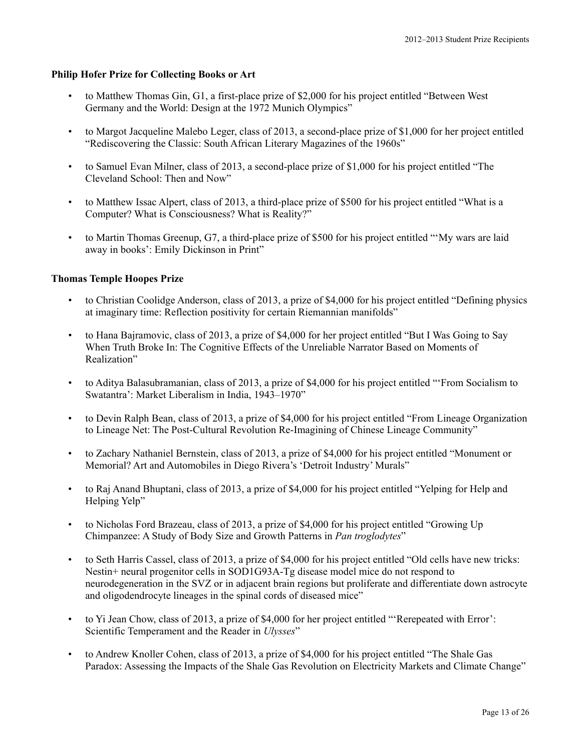# **Philip Hofer Prize for Collecting Books or Art**

- to Matthew Thomas Gin, G1, a first-place prize of \$2,000 for his project entitled "Between West Germany and the World: Design at the 1972 Munich Olympics"
- to Margot Jacqueline Malebo Leger, class of 2013, a second-place prize of \$1,000 for her project entitled "Rediscovering the Classic: South African Literary Magazines of the 1960s"
- to Samuel Evan Milner, class of 2013, a second-place prize of \$1,000 for his project entitled "The Cleveland School: Then and Now"
- to Matthew Issac Alpert, class of 2013, a third-place prize of \$500 for his project entitled "What is a Computer? What is Consciousness? What is Reality?"
- to Martin Thomas Greenup, G7, a third-place prize of \$500 for his project entitled "'My wars are laid away in books': Emily Dickinson in Print"

# **Thomas Temple Hoopes Prize**

- to Christian Coolidge Anderson, class of 2013, a prize of \$4,000 for his project entitled "Defining physics" at imaginary time: Reflection positivity for certain Riemannian manifolds"
- to Hana Bajramovic, class of 2013, a prize of \$4,000 for her project entitled "But I Was Going to Say When Truth Broke In: The Cognitive Effects of the Unreliable Narrator Based on Moments of Realization"
- to Aditya Balasubramanian, class of 2013, a prize of \$4,000 for his project entitled "'From Socialism to Swatantra': Market Liberalism in India, 1943–1970"
- to Devin Ralph Bean, class of 2013, a prize of \$4,000 for his project entitled "From Lineage Organization to Lineage Net: The Post-Cultural Revolution Re-Imagining of Chinese Lineage Community"
- to Zachary Nathaniel Bernstein, class of 2013, a prize of \$4,000 for his project entitled "Monument or Memorial? Art and Automobiles in Diego Rivera's 'Detroit Industry' Murals"
- to Raj Anand Bhuptani, class of 2013, a prize of \$4,000 for his project entitled "Yelping for Help and Helping Yelp"
- to Nicholas Ford Brazeau, class of 2013, a prize of \$4,000 for his project entitled "Growing Up Chimpanzee: A Study of Body Size and Growth Patterns in *Pan troglodytes*"
- to Seth Harris Cassel, class of 2013, a prize of \$4,000 for his project entitled "Old cells have new tricks: Nestin+ neural progenitor cells in SOD1G93A-Tg disease model mice do not respond to neurodegeneration in the SVZ or in adjacent brain regions but proliferate and differentiate down astrocyte and oligodendrocyte lineages in the spinal cords of diseased mice"
- to Yi Jean Chow, class of 2013, a prize of \$4,000 for her project entitled "'Rerepeated with Error': Scientific Temperament and the Reader in *Ulysses*"
- to Andrew Knoller Cohen, class of 2013, a prize of \$4,000 for his project entitled "The Shale Gas Paradox: Assessing the Impacts of the Shale Gas Revolution on Electricity Markets and Climate Change"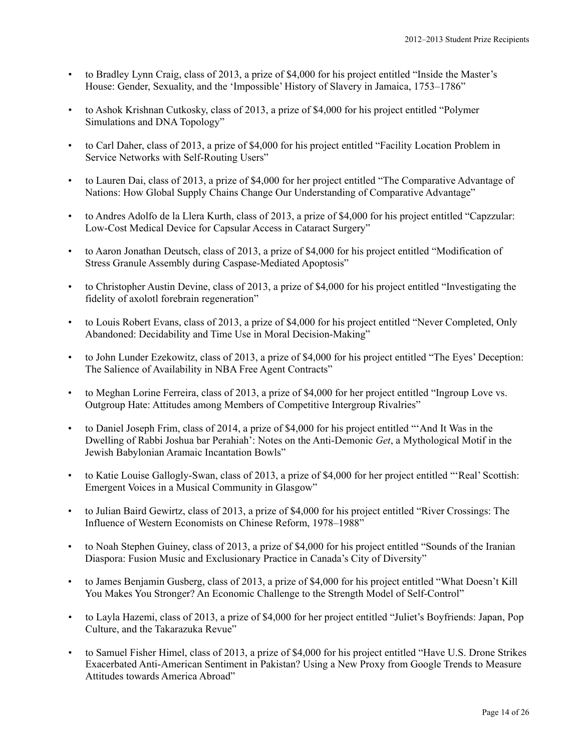- to Bradley Lynn Craig, class of 2013, a prize of \$4,000 for his project entitled "Inside the Master's House: Gender, Sexuality, and the 'Impossible' History of Slavery in Jamaica, 1753–1786"
- to Ashok Krishnan Cutkosky, class of 2013, a prize of \$4,000 for his project entitled "Polymer Simulations and DNA Topology"
- to Carl Daher, class of 2013, a prize of \$4,000 for his project entitled "Facility Location Problem in Service Networks with Self-Routing Users"
- to Lauren Dai, class of 2013, a prize of \$4,000 for her project entitled "The Comparative Advantage of Nations: How Global Supply Chains Change Our Understanding of Comparative Advantage"
- to Andres Adolfo de la Llera Kurth, class of 2013, a prize of \$4,000 for his project entitled "Capzzular: Low-Cost Medical Device for Capsular Access in Cataract Surgery"
- to Aaron Jonathan Deutsch, class of 2013, a prize of \$4,000 for his project entitled "Modification of Stress Granule Assembly during Caspase-Mediated Apoptosis"
- to Christopher Austin Devine, class of 2013, a prize of \$4,000 for his project entitled "Investigating the fidelity of axolotl forebrain regeneration"
- to Louis Robert Evans, class of 2013, a prize of \$4,000 for his project entitled "Never Completed, Only Abandoned: Decidability and Time Use in Moral Decision-Making"
- to John Lunder Ezekowitz, class of 2013, a prize of \$4,000 for his project entitled "The Eyes' Deception: The Salience of Availability in NBA Free Agent Contracts"
- to Meghan Lorine Ferreira, class of 2013, a prize of \$4,000 for her project entitled "Ingroup Love vs. Outgroup Hate: Attitudes among Members of Competitive Intergroup Rivalries"
- to Daniel Joseph Frim, class of 2014, a prize of \$4,000 for his project entitled "'And It Was in the Dwelling of Rabbi Joshua bar Perahiah': Notes on the Anti-Demonic *Get*, a Mythological Motif in the Jewish Babylonian Aramaic Incantation Bowls"
- to Katie Louise Gallogly-Swan, class of 2013, a prize of \$4,000 for her project entitled "'Real' Scottish: Emergent Voices in a Musical Community in Glasgow"
- to Julian Baird Gewirtz, class of 2013, a prize of \$4,000 for his project entitled "River Crossings: The Influence of Western Economists on Chinese Reform, 1978–1988"
- to Noah Stephen Guiney, class of 2013, a prize of \$4,000 for his project entitled "Sounds of the Iranian Diaspora: Fusion Music and Exclusionary Practice in Canada's City of Diversity"
- to James Benjamin Gusberg, class of 2013, a prize of \$4,000 for his project entitled "What Doesn't Kill You Makes You Stronger? An Economic Challenge to the Strength Model of Self-Control"
- to Layla Hazemi, class of 2013, a prize of \$4,000 for her project entitled "Juliet's Boyfriends: Japan, Pop Culture, and the Takarazuka Revue"
- to Samuel Fisher Himel, class of 2013, a prize of \$4,000 for his project entitled "Have U.S. Drone Strikes Exacerbated Anti-American Sentiment in Pakistan? Using a New Proxy from Google Trends to Measure Attitudes towards America Abroad"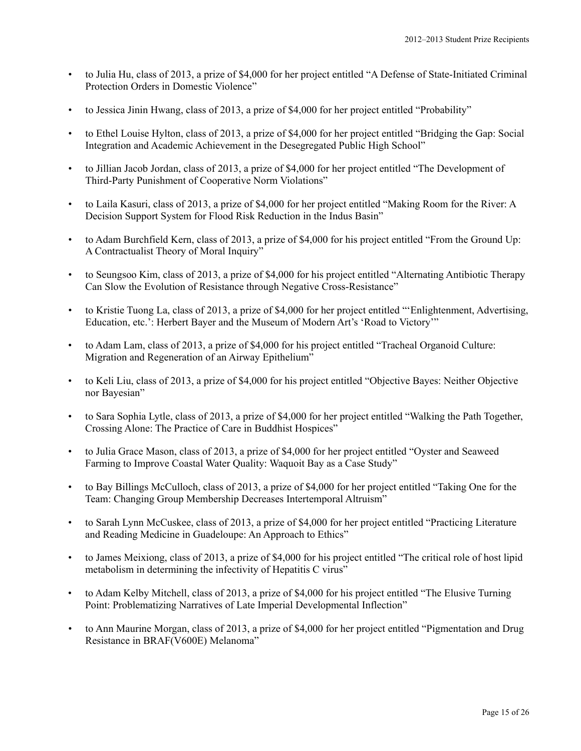- to Julia Hu, class of 2013, a prize of \$4,000 for her project entitled "A Defense of State-Initiated Criminal Protection Orders in Domestic Violence"
- to Jessica Jinin Hwang, class of 2013, a prize of \$4,000 for her project entitled "Probability"
- to Ethel Louise Hylton, class of 2013, a prize of \$4,000 for her project entitled "Bridging the Gap: Social Integration and Academic Achievement in the Desegregated Public High School"
- to Jillian Jacob Jordan, class of 2013, a prize of \$4,000 for her project entitled "The Development of Third-Party Punishment of Cooperative Norm Violations"
- to Laila Kasuri, class of 2013, a prize of \$4,000 for her project entitled "Making Room for the River: A Decision Support System for Flood Risk Reduction in the Indus Basin"
- to Adam Burchfield Kern, class of 2013, a prize of \$4,000 for his project entitled "From the Ground Up: A Contractualist Theory of Moral Inquiry"
- to Seungsoo Kim, class of 2013, a prize of \$4,000 for his project entitled "Alternating Antibiotic Therapy Can Slow the Evolution of Resistance through Negative Cross-Resistance"
- to Kristie Tuong La, class of 2013, a prize of \$4,000 for her project entitled "'Enlightenment, Advertising, Education, etc.': Herbert Bayer and the Museum of Modern Art's 'Road to Victory'"
- to Adam Lam, class of 2013, a prize of \$4,000 for his project entitled "Tracheal Organoid Culture: Migration and Regeneration of an Airway Epithelium"
- to Keli Liu, class of 2013, a prize of \$4,000 for his project entitled "Objective Bayes: Neither Objective nor Bayesian"
- to Sara Sophia Lytle, class of 2013, a prize of \$4,000 for her project entitled "Walking the Path Together, Crossing Alone: The Practice of Care in Buddhist Hospices"
- to Julia Grace Mason, class of 2013, a prize of \$4,000 for her project entitled "Oyster and Seaweed Farming to Improve Coastal Water Quality: Waquoit Bay as a Case Study"
- to Bay Billings McCulloch, class of 2013, a prize of \$4,000 for her project entitled "Taking One for the Team: Changing Group Membership Decreases Intertemporal Altruism"
- to Sarah Lynn McCuskee, class of 2013, a prize of \$4,000 for her project entitled "Practicing Literature and Reading Medicine in Guadeloupe: An Approach to Ethics"
- to James Meixiong, class of 2013, a prize of \$4,000 for his project entitled "The critical role of host lipid metabolism in determining the infectivity of Hepatitis C virus"
- to Adam Kelby Mitchell, class of 2013, a prize of \$4,000 for his project entitled "The Elusive Turning Point: Problematizing Narratives of Late Imperial Developmental Inflection"
- to Ann Maurine Morgan, class of 2013, a prize of \$4,000 for her project entitled "Pigmentation and Drug Resistance in BRAF(V600E) Melanoma"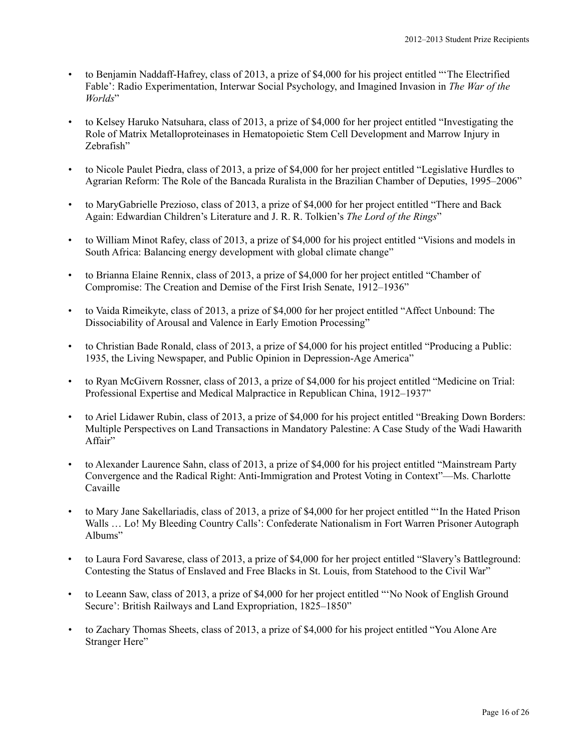- to Benjamin Naddaff-Hafrey, class of 2013, a prize of \$4,000 for his project entitled "'The Electrified Fable': Radio Experimentation, Interwar Social Psychology, and Imagined Invasion in *The War of the Worlds*"
- to Kelsey Haruko Natsuhara, class of 2013, a prize of \$4,000 for her project entitled "Investigating the Role of Matrix Metalloproteinases in Hematopoietic Stem Cell Development and Marrow Injury in Zebrafish"
- to Nicole Paulet Piedra, class of 2013, a prize of \$4,000 for her project entitled "Legislative Hurdles to Agrarian Reform: The Role of the Bancada Ruralista in the Brazilian Chamber of Deputies, 1995–2006"
- to MaryGabrielle Prezioso, class of 2013, a prize of \$4,000 for her project entitled "There and Back Again: Edwardian Children's Literature and J. R. R. Tolkien's *The Lord of the Rings*"
- to William Minot Rafey, class of 2013, a prize of \$4,000 for his project entitled "Visions and models in South Africa: Balancing energy development with global climate change"
- to Brianna Elaine Rennix, class of 2013, a prize of \$4,000 for her project entitled "Chamber of Compromise: The Creation and Demise of the First Irish Senate, 1912–1936"
- to Vaida Rimeikyte, class of 2013, a prize of \$4,000 for her project entitled "Affect Unbound: The Dissociability of Arousal and Valence in Early Emotion Processing"
- to Christian Bade Ronald, class of 2013, a prize of \$4,000 for his project entitled "Producing a Public: 1935, the Living Newspaper, and Public Opinion in Depression-Age America"
- to Ryan McGivern Rossner, class of 2013, a prize of \$4,000 for his project entitled "Medicine on Trial: Professional Expertise and Medical Malpractice in Republican China, 1912–1937"
- to Ariel Lidawer Rubin, class of 2013, a prize of \$4,000 for his project entitled "Breaking Down Borders: Multiple Perspectives on Land Transactions in Mandatory Palestine: A Case Study of the Wadi Hawarith Affair"
- to Alexander Laurence Sahn, class of 2013, a prize of \$4,000 for his project entitled "Mainstream Party Convergence and the Radical Right: Anti-Immigration and Protest Voting in Context"—Ms. Charlotte Cavaille
- to Mary Jane Sakellariadis, class of 2013, a prize of \$4,000 for her project entitled "'In the Hated Prison Walls … Lo! My Bleeding Country Calls': Confederate Nationalism in Fort Warren Prisoner Autograph Albums"
- to Laura Ford Savarese, class of 2013, a prize of \$4,000 for her project entitled "Slavery's Battleground: Contesting the Status of Enslaved and Free Blacks in St. Louis, from Statehood to the Civil War"
- to Leeann Saw, class of 2013, a prize of \$4,000 for her project entitled "'No Nook of English Ground Secure': British Railways and Land Expropriation, 1825–1850"
- to Zachary Thomas Sheets, class of 2013, a prize of \$4,000 for his project entitled "You Alone Are Stranger Here"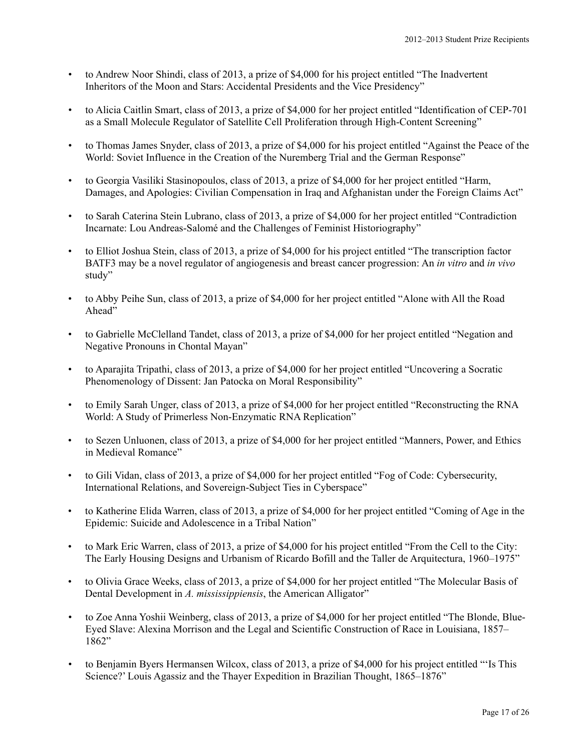- to Andrew Noor Shindi, class of 2013, a prize of \$4,000 for his project entitled "The Inadvertent Inheritors of the Moon and Stars: Accidental Presidents and the Vice Presidency"
- to Alicia Caitlin Smart, class of 2013, a prize of \$4,000 for her project entitled "Identification of CEP-701 as a Small Molecule Regulator of Satellite Cell Proliferation through High-Content Screening"
- to Thomas James Snyder, class of 2013, a prize of \$4,000 for his project entitled "Against the Peace of the World: Soviet Influence in the Creation of the Nuremberg Trial and the German Response"
- to Georgia Vasiliki Stasinopoulos, class of 2013, a prize of \$4,000 for her project entitled "Harm, Damages, and Apologies: Civilian Compensation in Iraq and Afghanistan under the Foreign Claims Act"
- to Sarah Caterina Stein Lubrano, class of 2013, a prize of \$4,000 for her project entitled "Contradiction Incarnate: Lou Andreas-Salomé and the Challenges of Feminist Historiography"
- to Elliot Joshua Stein, class of 2013, a prize of \$4,000 for his project entitled "The transcription factor BATF3 may be a novel regulator of angiogenesis and breast cancer progression: An *in vitro* and *in vivo* study"
- to Abby Peihe Sun, class of 2013, a prize of \$4,000 for her project entitled "Alone with All the Road Ahead"
- to Gabrielle McClelland Tandet, class of 2013, a prize of \$4,000 for her project entitled "Negation and Negative Pronouns in Chontal Mayan"
- to Aparajita Tripathi, class of 2013, a prize of \$4,000 for her project entitled "Uncovering a Socratic Phenomenology of Dissent: Jan Patocka on Moral Responsibility"
- to Emily Sarah Unger, class of 2013, a prize of \$4,000 for her project entitled "Reconstructing the RNA World: A Study of Primerless Non-Enzymatic RNA Replication"
- to Sezen Unluonen, class of 2013, a prize of \$4,000 for her project entitled "Manners, Power, and Ethics in Medieval Romance"
- to Gili Vidan, class of 2013, a prize of \$4,000 for her project entitled "Fog of Code: Cybersecurity, International Relations, and Sovereign-Subject Ties in Cyberspace"
- to Katherine Elida Warren, class of 2013, a prize of \$4,000 for her project entitled "Coming of Age in the Epidemic: Suicide and Adolescence in a Tribal Nation"
- to Mark Eric Warren, class of 2013, a prize of \$4,000 for his project entitled "From the Cell to the City: The Early Housing Designs and Urbanism of Ricardo Bofill and the Taller de Arquitectura, 1960–1975"
- to Olivia Grace Weeks, class of 2013, a prize of \$4,000 for her project entitled "The Molecular Basis of Dental Development in *A. mississippiensis*, the American Alligator"
- to Zoe Anna Yoshii Weinberg, class of 2013, a prize of \$4,000 for her project entitled "The Blonde, Blue-Eyed Slave: Alexina Morrison and the Legal and Scientific Construction of Race in Louisiana, 1857– 1862"
- to Benjamin Byers Hermansen Wilcox, class of 2013, a prize of \$4,000 for his project entitled "'Is This Science?' Louis Agassiz and the Thayer Expedition in Brazilian Thought, 1865–1876"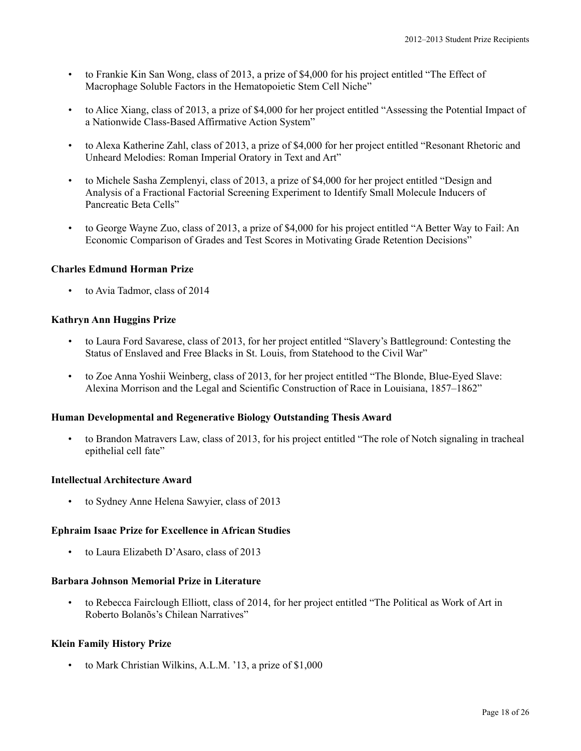- to Frankie Kin San Wong, class of 2013, a prize of \$4,000 for his project entitled "The Effect of Macrophage Soluble Factors in the Hematopoietic Stem Cell Niche"
- to Alice Xiang, class of 2013, a prize of \$4,000 for her project entitled "Assessing the Potential Impact of a Nationwide Class-Based Affirmative Action System"
- to Alexa Katherine Zahl, class of 2013, a prize of \$4,000 for her project entitled "Resonant Rhetoric and Unheard Melodies: Roman Imperial Oratory in Text and Art"
- to Michele Sasha Zemplenyi, class of 2013, a prize of \$4,000 for her project entitled "Design and Analysis of a Fractional Factorial Screening Experiment to Identify Small Molecule Inducers of Pancreatic Beta Cells"
- to George Wayne Zuo, class of 2013, a prize of \$4,000 for his project entitled "A Better Way to Fail: An Economic Comparison of Grades and Test Scores in Motivating Grade Retention Decisions"

# **Charles Edmund Horman Prize**

• to Avia Tadmor, class of 2014

# **Kathryn Ann Huggins Prize**

- to Laura Ford Savarese, class of 2013, for her project entitled "Slavery's Battleground: Contesting the Status of Enslaved and Free Blacks in St. Louis, from Statehood to the Civil War"
- to Zoe Anna Yoshii Weinberg, class of 2013, for her project entitled "The Blonde, Blue-Eyed Slave: Alexina Morrison and the Legal and Scientific Construction of Race in Louisiana, 1857–1862"

### **Human Developmental and Regenerative Biology Outstanding Thesis Award**

• to Brandon Matravers Law, class of 2013, for his project entitled "The role of Notch signaling in tracheal epithelial cell fate"

### **Intellectual Architecture Award**

• to Sydney Anne Helena Sawyier, class of 2013

### **Ephraim Isaac Prize for Excellence in African Studies**

• to Laura Elizabeth D'Asaro, class of 2013

# **Barbara Johnson Memorial Prize in Literature**

• to Rebecca Fairclough Elliott, class of 2014, for her project entitled "The Political as Work of Art in Roberto Bolanõs's Chilean Narratives"

### **Klein Family History Prize**

• to Mark Christian Wilkins, A.L.M. '13, a prize of \$1,000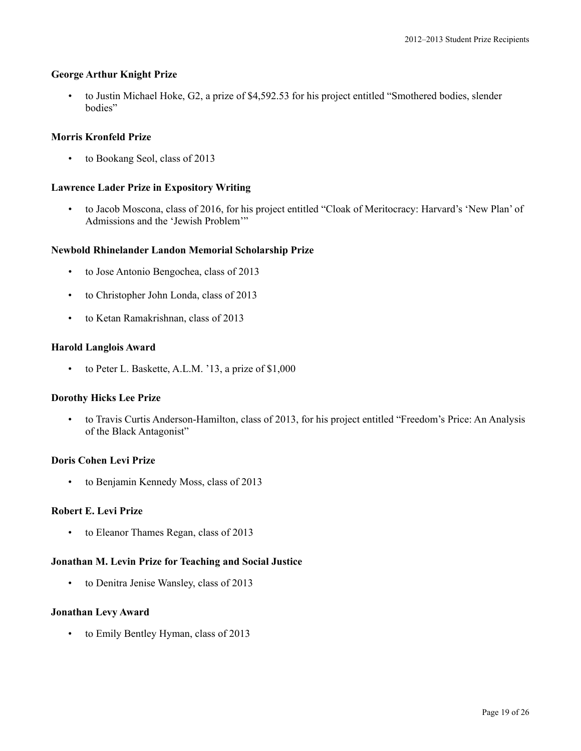### **George Arthur Knight Prize**

• to Justin Michael Hoke, G2, a prize of \$4,592.53 for his project entitled "Smothered bodies, slender bodies"

### **Morris Kronfeld Prize**

• to Bookang Seol, class of 2013

# **Lawrence Lader Prize in Expository Writing**

• to Jacob Moscona, class of 2016, for his project entitled "Cloak of Meritocracy: Harvard's 'New Plan' of Admissions and the 'Jewish Problem'"

# **Newbold Rhinelander Landon Memorial Scholarship Prize**

- to Jose Antonio Bengochea, class of 2013
- to Christopher John Londa, class of 2013
- to Ketan Ramakrishnan, class of 2013

### **Harold Langlois Award**

• to Peter L. Baskette, A.L.M. '13, a prize of \$1,000

### **Dorothy Hicks Lee Prize**

• to Travis Curtis Anderson-Hamilton, class of 2013, for his project entitled "Freedom's Price: An Analysis of the Black Antagonist"

### **Doris Cohen Levi Prize**

• to Benjamin Kennedy Moss, class of 2013

# **Robert E. Levi Prize**

• to Eleanor Thames Regan, class of 2013

# **Jonathan M. Levin Prize for Teaching and Social Justice**

• to Denitra Jenise Wansley, class of 2013

### **Jonathan Levy Award**

• to Emily Bentley Hyman, class of 2013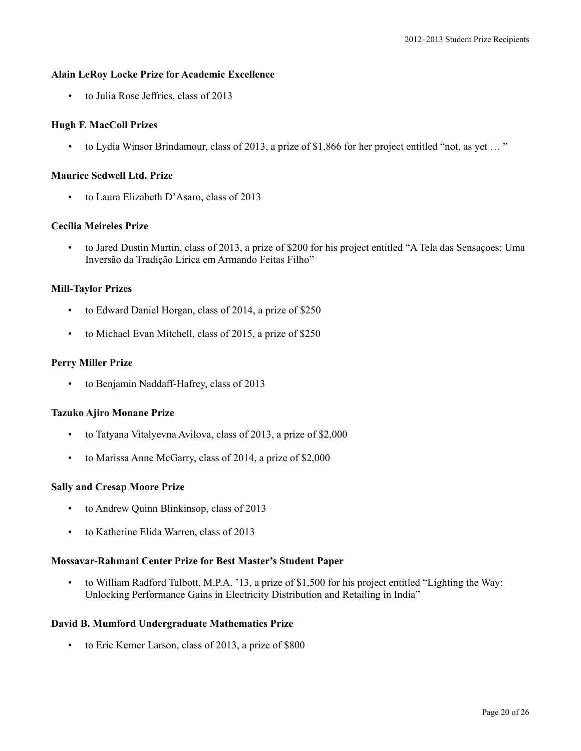### **Alain LeRoy Locke Prize for Academic Excellence**

• to Julia Rose Jeffries, class of 2013

# **Hugh F. MacColl Prizes**

• to Lydia Winsor Brindamour, class of 2013, a prize of \$1,866 for her project entitled "not, as yet … "

### **Maurice Sedwell Ltd. Prize**

• to Laura Elizabeth D'Asaro, class of 2013

# **Cecília Meireles Prize**

• to Jared Dustin Martin, class of 2013, a prize of \$200 for his project entitled "A Tela das Sensaçoes: Uma Inversão da Tradição Lirica em Armando Feitas Filho"

# **Mill-Taylor Prizes**

- to Edward Daniel Horgan, class of 2014, a prize of \$250
- to Michael Evan Mitchell, class of 2015, a prize of \$250

# **Perry Miller Prize**

• to Benjamin Naddaff-Hafrey, class of 2013

### **Tazuko Ajiro Monane Prize**

- to Tatyana Vitalyevna Avilova, class of 2013, a prize of \$2,000
- to Marissa Anne McGarry, class of 2014, a prize of \$2,000

### **Sally and Cresap Moore Prize**

- to Andrew Quinn Blinkinsop, class of 2013
- to Katherine Elida Warren, class of 2013

### **Mossavar-Rahmani Center Prize for Best Master's Student Paper**

• to William Radford Talbott, M.P.A. '13, a prize of \$1,500 for his project entitled "Lighting the Way: Unlocking Performance Gains in Electricity Distribution and Retailing in India"

### **David B. Mumford Undergraduate Mathematics Prize**

• to Eric Kerner Larson, class of 2013, a prize of \$800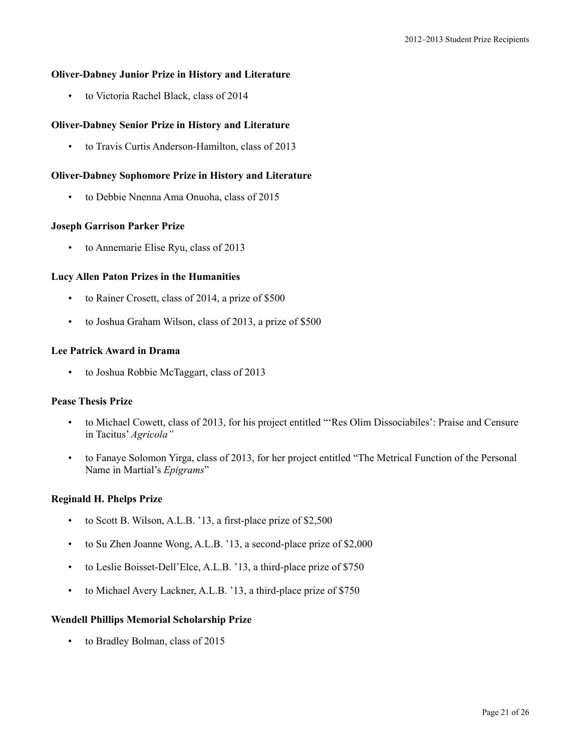# **Oliver-Dabney Junior Prize in History and Literature**

• to Victoria Rachel Black, class of 2014

# **Oliver-Dabney Senior Prize in History and Literature**

• to Travis Curtis Anderson-Hamilton, class of 2013

### **Oliver-Dabney Sophomore Prize in History and Literature**

• to Debbie Nnenna Ama Onuoha, class of 2015

### **Joseph Garrison Parker Prize**

• to Annemarie Elise Ryu, class of 2013

### **Lucy Allen Paton Prizes in the Humanities**

- to Rainer Crosett, class of 2014, a prize of \$500
- to Joshua Graham Wilson, class of 2013, a prize of \$500

### **Lee Patrick Award in Drama**

• to Joshua Robbie McTaggart, class of 2013

# **Pease Thesis Prize**

- to Michael Cowett, class of 2013, for his project entitled "'Res Olim Dissociabiles': Praise and Censure in Tacitus' *Agricola"*
- to Fanaye Solomon Yirga, class of 2013, for her project entitled "The Metrical Function of the Personal Name in Martial's *Epigrams*"

### **Reginald H. Phelps Prize**

- to Scott B. Wilson, A.L.B. '13, a first-place prize of \$2,500
- to Su Zhen Joanne Wong, A.L.B. '13, a second-place prize of \$2,000
- to Leslie Boisset-Dell'Elce, A.L.B. '13, a third-place prize of \$750
- to Michael Avery Lackner, A.L.B. '13, a third-place prize of \$750

#### **Wendell Phillips Memorial Scholarship Prize**

to Bradley Bolman, class of 2015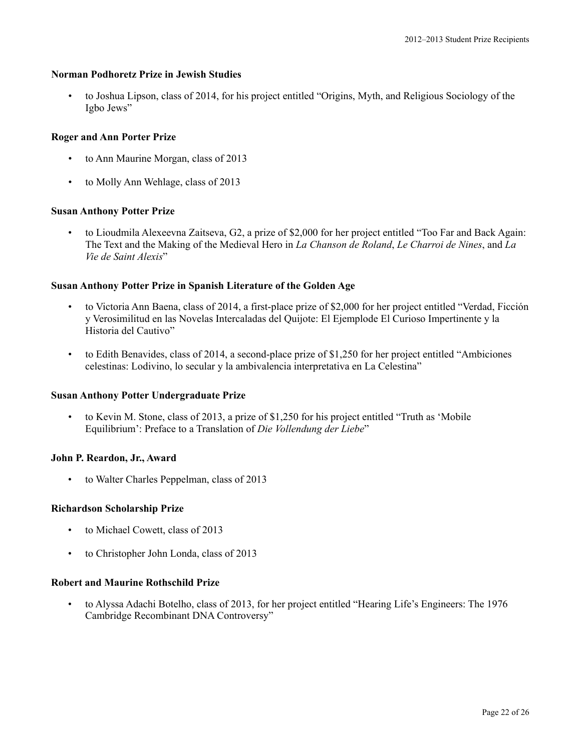# **Norman Podhoretz Prize in Jewish Studies**

• to Joshua Lipson, class of 2014, for his project entitled "Origins, Myth, and Religious Sociology of the Igbo Jews"

# **Roger and Ann Porter Prize**

- to Ann Maurine Morgan, class of 2013
- to Molly Ann Wehlage, class of 2013

# **Susan Anthony Potter Prize**

• to Lioudmila Alexeevna Zaitseva, G2, a prize of \$2,000 for her project entitled "Too Far and Back Again: The Text and the Making of the Medieval Hero in *La Chanson de Roland*, *Le Charroi de Nines*, and *La Vie de Saint Alexis*"

# **Susan Anthony Potter Prize in Spanish Literature of the Golden Age**

- to Victoria Ann Baena, class of 2014, a first-place prize of \$2,000 for her project entitled "Verdad, Ficción y Verosimilitud en las Novelas Intercaladas del Quijote: El Ejemplode El Curioso Impertinente y la Historia del Cautivo"
- to Edith Benavides, class of 2014, a second-place prize of \$1,250 for her project entitled "Ambiciones celestinas: Lodivino, lo secular y la ambivalencia interpretativa en La Celestina"

### **Susan Anthony Potter Undergraduate Prize**

• to Kevin M. Stone, class of 2013, a prize of \$1,250 for his project entitled "Truth as 'Mobile Equilibrium': Preface to a Translation of *Die Vollendung der Liebe*"

### **John P. Reardon, Jr., Award**

to Walter Charles Peppelman, class of 2013

### **Richardson Scholarship Prize**

- to Michael Cowett, class of 2013
- to Christopher John Londa, class of 2013

### **Robert and Maurine Rothschild Prize**

• to Alyssa Adachi Botelho, class of 2013, for her project entitled "Hearing Life's Engineers: The 1976 Cambridge Recombinant DNA Controversy"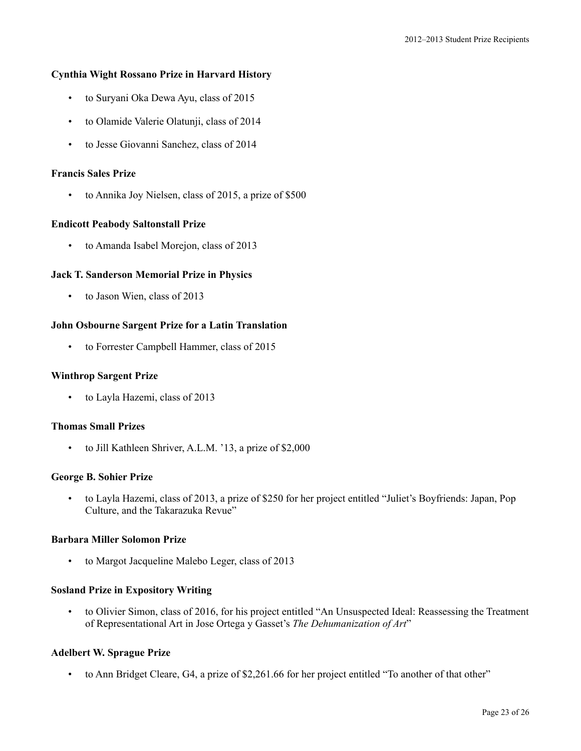# **Cynthia Wight Rossano Prize in Harvard History**

- to Suryani Oka Dewa Ayu, class of 2015
- to Olamide Valerie Olatunji, class of 2014
- to Jesse Giovanni Sanchez, class of 2014

### **Francis Sales Prize**

• to Annika Joy Nielsen, class of 2015, a prize of \$500

### **Endicott Peabody Saltonstall Prize**

• to Amanda Isabel Morejon, class of 2013

### **Jack T. Sanderson Memorial Prize in Physics**

• to Jason Wien, class of 2013

# **John Osbourne Sargent Prize for a Latin Translation**

• to Forrester Campbell Hammer, class of 2015

### **Winthrop Sargent Prize**

• to Layla Hazemi, class of 2013

# **Thomas Small Prizes**

• to Jill Kathleen Shriver, A.L.M. '13, a prize of \$2,000

# **George B. Sohier Prize**

• to Layla Hazemi, class of 2013, a prize of \$250 for her project entitled "Juliet's Boyfriends: Japan, Pop Culture, and the Takarazuka Revue"

### **Barbara Miller Solomon Prize**

to Margot Jacqueline Malebo Leger, class of 2013

### **Sosland Prize in Expository Writing**

• to Olivier Simon, class of 2016, for his project entitled "An Unsuspected Ideal: Reassessing the Treatment of Representational Art in Jose Ortega y Gasset's *The Dehumanization of Art*"

# **Adelbert W. Sprague Prize**

• to Ann Bridget Cleare, G4, a prize of \$2,261.66 for her project entitled "To another of that other"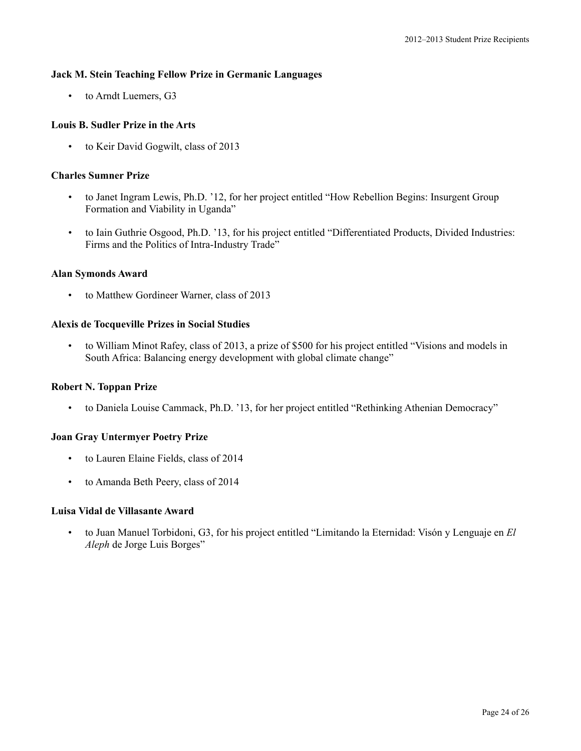# **Jack M. Stein Teaching Fellow Prize in Germanic Languages**

• to Arndt Luemers, G3

# **Louis B. Sudler Prize in the Arts**

• to Keir David Gogwilt, class of 2013

### **Charles Sumner Prize**

- to Janet Ingram Lewis, Ph.D. '12, for her project entitled "How Rebellion Begins: Insurgent Group Formation and Viability in Uganda"
- to Iain Guthrie Osgood, Ph.D. '13, for his project entitled "Differentiated Products, Divided Industries: Firms and the Politics of Intra-Industry Trade"

# **Alan Symonds Award**

• to Matthew Gordineer Warner, class of 2013

# **Alexis de Tocqueville Prizes in Social Studies**

• to William Minot Rafey, class of 2013, a prize of \$500 for his project entitled "Visions and models in South Africa: Balancing energy development with global climate change"

# **Robert N. Toppan Prize**

• to Daniela Louise Cammack, Ph.D. '13, for her project entitled "Rethinking Athenian Democracy"

# **Joan Gray Untermyer Poetry Prize**

- to Lauren Elaine Fields, class of 2014
- to Amanda Beth Peery, class of 2014

### **Luisa Vidal de Villasante Award**

• to Juan Manuel Torbidoni, G3, for his project entitled "Limitando la Eternidad: Visón y Lenguaje en *El Aleph* de Jorge Luis Borges"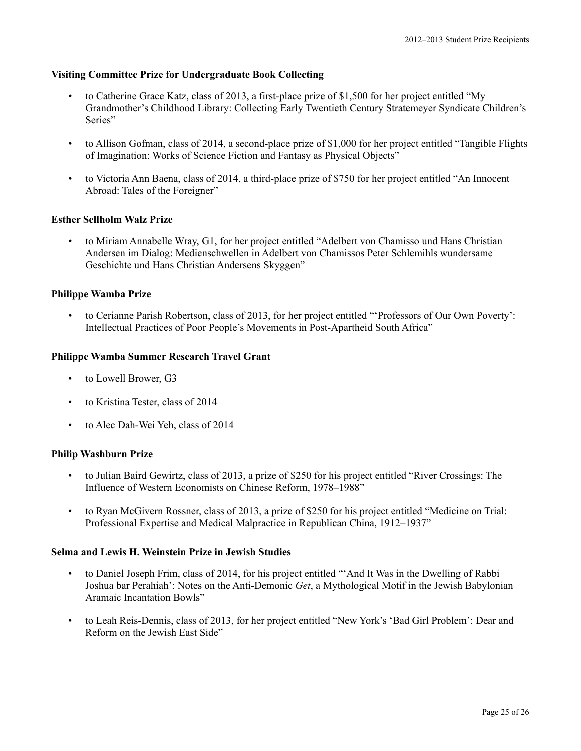# **Visiting Committee Prize for Undergraduate Book Collecting**

- to Catherine Grace Katz, class of 2013, a first-place prize of \$1,500 for her project entitled "My Grandmother's Childhood Library: Collecting Early Twentieth Century Stratemeyer Syndicate Children's Series"
- to Allison Gofman, class of 2014, a second-place prize of \$1,000 for her project entitled "Tangible Flights of Imagination: Works of Science Fiction and Fantasy as Physical Objects"
- to Victoria Ann Baena, class of 2014, a third-place prize of \$750 for her project entitled "An Innocent Abroad: Tales of the Foreigner"

# **Esther Sellholm Walz Prize**

• to Miriam Annabelle Wray, G1, for her project entitled "Adelbert von Chamisso und Hans Christian Andersen im Dialog: Medienschwellen in Adelbert von Chamissos Peter Schlemihls wundersame Geschichte und Hans Christian Andersens Skyggen"

# **Philippe Wamba Prize**

• to Cerianne Parish Robertson, class of 2013, for her project entitled "'Professors of Our Own Poverty': Intellectual Practices of Poor People's Movements in Post-Apartheid South Africa"

### **Philippe Wamba Summer Research Travel Grant**

- to Lowell Brower, G3
- to Kristina Tester, class of 2014
- to Alec Dah-Wei Yeh, class of 2014

### **Philip Washburn Prize**

- to Julian Baird Gewirtz, class of 2013, a prize of \$250 for his project entitled "River Crossings: The Influence of Western Economists on Chinese Reform, 1978–1988"
- to Ryan McGivern Rossner, class of 2013, a prize of \$250 for his project entitled "Medicine on Trial: Professional Expertise and Medical Malpractice in Republican China, 1912–1937"

### **Selma and Lewis H. Weinstein Prize in Jewish Studies**

- to Daniel Joseph Frim, class of 2014, for his project entitled "'And It Was in the Dwelling of Rabbi Joshua bar Perahiah': Notes on the Anti-Demonic *Get*, a Mythological Motif in the Jewish Babylonian Aramaic Incantation Bowls"
- to Leah Reis-Dennis, class of 2013, for her project entitled "New York's 'Bad Girl Problem': Dear and Reform on the Jewish East Side"